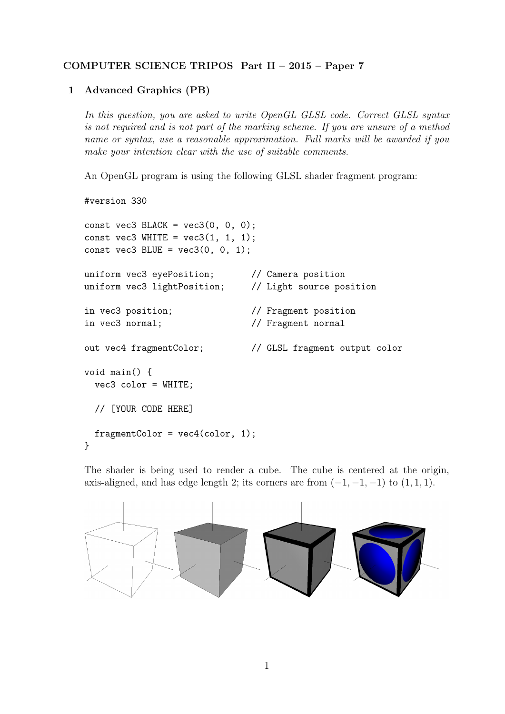## COMPUTER SCIENCE TRIPOS Part II – 2015 – Paper 7

## 1 Advanced Graphics (PB)

In this question, you are asked to write OpenGL GLSL code. Correct GLSL syntax is not required and is not part of the marking scheme. If you are unsure of a method name or syntax, use a reasonable approximation. Full marks will be awarded if you make your intention clear with the use of suitable comments.

An OpenGL program is using the following GLSL shader fragment program:

```
#version 330
const vec3 BLACK = vec3(0, 0, 0);
const vec3 WHITE = vec3(1, 1, 1);
const vec3 BLUE = vec3(0, 0, 1);
uniform vec3 eyePosition; // Camera position
uniform vec3 lightPosition; // Light source position
in vec3 position; // Fragment position
in vec3 normal; // Fragment normal
out vec4 fragmentColor; // GLSL fragment output color
void main() {
 vec3 color = WHITE;
 // [YOUR CODE HERE]
 fragmentColor = vec4(color, 1);
}
```
The shader is being used to render a cube. The cube is centered at the origin, axis-aligned, and has edge length 2; its corners are from  $(-1, -1, -1)$  to  $(1, 1, 1)$ .